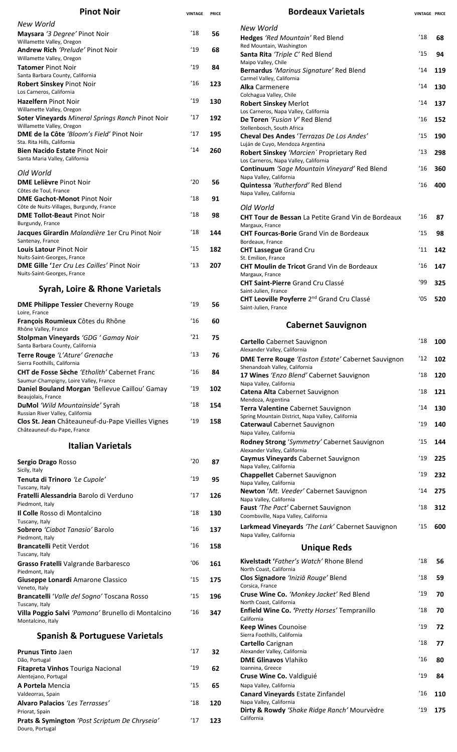| <b>Pinot Noir</b>                                                                                                    | <b>VINTAGE</b> | <b>PRICE</b> |
|----------------------------------------------------------------------------------------------------------------------|----------------|--------------|
| New World                                                                                                            |                |              |
| Maysara '3 Degree' Pinot Noir<br>Willamette Valley, Oregon                                                           | $^{\prime}18$  | 56           |
| <b>Andrew Rich</b> ' <i>Prelude</i> ' Pinot Noir<br>Willamette Valley, Oregon                                        | '19            | 68           |
| <b>Tatomer</b> Pinot Noir<br>Santa Barbara County, California                                                        | $^{\prime}19$  | 84           |
| <b>Robert Sinskey Pinot Noir</b><br>Los Carneros, California                                                         | '16            | 123          |
| <b>Hazelfern Pinot Noir</b>                                                                                          | '19            | 130          |
| Willamette Valley, Oregon<br>Soter Vineyards Mineral Springs Ranch Pinot Noir<br>Willamette Valley, Oregon           | '17            | 192          |
| DME de la Côte 'Bloom's Field' Pinot Noir                                                                            | '17            | 195          |
| Sta. Rita Hills. California<br><b>Bien Nacido Estate Pinot Noir</b><br>Santa Maria Valley, California                | 14'            | 260          |
| Old World                                                                                                            |                |              |
| <b>DME Lelièvre Pinot Noir</b><br>Côtes de Toul, France                                                              | '20            | 56           |
| <b>DME Gachot-Monot Pinot Noir</b>                                                                                   | '18            | 91           |
| Côte de Nuits-Villages, Burgundy, France<br><b>DME Tollot-Beaut Pinot Noir</b>                                       | '18            | 98           |
| Burgundy, France<br>Jacques Girardin Malandière 1er Cru Pinot Noir<br>Santenay, France                               | '18            | 144          |
| Louis Latour Pinot Noir                                                                                              | '15            | 182          |
| Nuits-Saint-Georges, France<br>DME Gille '1er Cru Les Cailles' Pinot Noir<br>Nuits-Saint-Georges, France             | '13            | 207          |
| Syrah, Loire & Rhone Varietals                                                                                       |                |              |
| <b>DME Philippe Tessier Cheverny Rouge</b><br>Loire, France                                                          | '19            | 56           |
| François Roumieux Côtes du Rhône<br>Rhône Valley, France                                                             | '16            | 60           |
| Stolpman Vineyards 'GDG ' Gamay Noir<br>Santa Barbara County, California                                             | '21            | 75           |
| Terre Rouge 'L'Ature' Grenache<br>Sierra Foothills, California                                                       | '13            | 76           |
| <b>CHT de Fosse Sèche 'Etholith' Cabernet Franc</b><br>Saumur-Champigny, Loire Valley, France                        | '16            | 84           |
| Daniel Bouland Morgan 'Bellevue Caillou' Gamay<br>Beaujolais, France                                                 | '19            | 102          |
| DuMol 'Wild Mountainside' Syrah                                                                                      | $^{\prime}18$  | 154          |
| Russian River Valley, California<br>Clos St. Jean Châteauneuf-du-Pape Vieilles Vignes<br>Châteauneuf-du-Pape, France | '19            | 158          |
| <b>Italian Varietals</b>                                                                                             |                |              |
| Sergio Drago Rosso                                                                                                   | '20            | 87           |
| Sicily, Italy<br>Tenuta di Trinoro 'Le Cupole'                                                                       | '19            | 95           |
| Tuscany, Italy<br>Fratelli Alessandria Barolo di Verduno<br>Piedmont, Italy                                          | 17             | 126          |
| Il Colle Rosso di Montalcino<br>Tuscany, Italy                                                                       | $^{\prime}18$  | 130          |
| Sobrero 'Ciabot Tanasio' Barolo<br>Piedmont, Italy                                                                   | 16             | 137          |
| <b>Brancatelli Petit Verdot</b><br>Tuscany, Italy                                                                    | '16            | 158          |
| Grasso Fratelli Valgrande Barbaresco<br>Piedmont, Italy                                                              | '06            | 161          |
| Giuseppe Lonardi Amarone Classico<br>Veneto, Italy                                                                   | 15             | 175          |
| Brancatelli 'Valle del Sogno' Toscana Rosso<br>Tuscany, Italy                                                        | '15            | 196          |
| Villa Poggio Salvi 'Pamona' Brunello di Montalcino                                                                   | 16             | 347          |

## **Spanish & Portuguese Varietals**

Montalcino, Italy

| <b>Prunus Tinto Jaen</b>                                         | 17            | 32  |
|------------------------------------------------------------------|---------------|-----|
| Dão, Portugal                                                    |               |     |
| <b>Fitapreta Vinhos Touriga Nacional</b>                         | '19           | 62  |
| Alentejano, Portugal                                             |               |     |
| <b>A Portela Mencia</b>                                          | $^{\prime}15$ | 65  |
| Valdeorras, Spain                                                |               |     |
| <b>Alvaro Palacios 'Les Terrasses'</b>                           | $^{\prime}18$ | 120 |
| Priorat, Spain                                                   |               |     |
| Prats & Symington 'Post Scriptum De Chryseia'<br>Douro, Portugal | 17'           | 123 |
|                                                                  |               |     |

| <b>Bordeaux Varietals</b>                                                                  | <b>VINTAGE PRICE</b> |     |
|--------------------------------------------------------------------------------------------|----------------------|-----|
| New World                                                                                  |                      |     |
| Hedges 'Red Mountain' Red Blend                                                            | $^{\prime}18$        | 68  |
| Red Mountain, Washington<br>Santa Rita 'Triple C' Red Blend                                | '15                  | 94  |
| Maipo Valley, Chile                                                                        |                      |     |
| Bernardus 'Marinus Signature' Red Blend<br>Carmel Valley, California                       | $^{\prime}14$        | 119 |
| <b>Alka</b> Carmenere                                                                      | '14                  | 130 |
| Colchagua Valley, Chile<br><b>Robert Sinskey Merlot</b>                                    | '14                  | 137 |
| Los Carneros, Napa Valley, California<br>De Toren 'Fusion V' Red Blend                     | $^{\prime}16$        | 152 |
| Stellenbosch, South Africa                                                                 |                      |     |
| Cheval Des Andes 'Terrazas De Los Andes'<br>Luján de Cuyo, Mendoza Argentina               | 15                   | 190 |
| Robert Sinskey 'Marcien' Proprietary Red                                                   | $^{\prime}13$        | 298 |
| Los Carneros, Napa Valley, California<br>Continuum 'Sage Mountain Vineyard' Red Blend      | $^{\prime}16$        | 360 |
| Napa Valley, California                                                                    |                      |     |
| Quintessa 'Rutherford' Red Blend<br>Napa Valley, California                                | $^{\prime}16$        | 400 |
| Old World                                                                                  |                      |     |
| <b>CHT Tour de Bessan</b> La Petite Grand Vin de Bordeaux<br>Margaux, France               | '16                  | 87  |
| <b>CHT Fourcas-Borie</b> Grand Vin de Bordeaux<br>Bordeaux, France                         | $^{\prime}15$        | 98  |
| <b>CHT Lassegue Grand Cru</b>                                                              | 11'                  | 142 |
| St. Emilion, France<br><b>CHT Moulin de Tricot Grand Vin de Bordeaux</b>                   | $^{\prime}16$        | 147 |
| Margaux, France                                                                            |                      |     |
| <b>CHT Saint-Pierre Grand Cru Classé</b><br>Saint-Julien, France                           | '99                  | 325 |
| CHT Leoville Poyferre 2 <sup>nd</sup> Grand Cru Classé<br>Saint-Julien, France             | '05                  | 520 |
| <b>Cabernet Sauvignon</b>                                                                  |                      |     |
| <b>Cartello</b> Cabernet Sauvignon                                                         | $18$ 100             |     |
| Alexander Valley, California                                                               |                      |     |
| <b>DME Terre Rouge</b> 'Easton Estate' Cabernet Sauvignon<br>Shenandoah Valley, California | $^{\prime}12$        | 102 |
| 17 Wines 'Enzo Blend' Cabernet Sauvignon                                                   | 18                   | 120 |
| Napa Valley, California<br>Catena Alta Cabernet Sauvignon                                  | $^{\prime}18$        | 121 |
| Mendoza, Argentina<br>Terra Valentine Cabernet Sauvignon                                   | '14                  | 130 |
| Spring Mountain District, Napa Valley, California                                          |                      |     |
| <b>Caterwaul Cabernet Sauvignon</b><br>Napa Valley, California                             | $^{\prime}19$        | 140 |
| Rodney Strong 'Symmetry' Cabernet Sauvignon                                                | $^{\prime}15$        | 144 |
| Alexander Valley, California<br>Caymus Vineyards Cabernet Sauvignon                        | '19                  | 225 |
| Napa Valley, California                                                                    |                      |     |
| <b>Chappellet</b> Cabernet Sauvignon<br>Napa Valley, California                            | '19                  | 232 |
| Newton 'Mt. Veeder' Cabernet Sauvignon                                                     | $^{\prime}$ 14       | 275 |
| Napa Valley, California<br>Faust 'The Pact' Cabernet Sauvignon                             | 18                   | 312 |
| Coombsville, Napa Valley, California                                                       |                      |     |
| Larkmead Vineyards 'The Lark' Cabernet Sauvignon<br>Napa Valley, California                | '15                  | 600 |
| <b>Unique Reds</b>                                                                         |                      |     |
| Kivelstadt 'Father's Watch' Rhone Blend<br>North Coast, California                         | $^{\prime}18$        | 56  |
| Clos Signadore 'Inizia Rouge' Blend                                                        | 18                   | 59  |
| Corsica, France<br>Cruse Wine Co. 'Monkey Jacket' Red Blend                                | $^{\prime}19$        | 70  |
| North Coast, California<br>Enfield Wine Co. 'Pretty Horses' Tempranillo                    | '18                  | 70  |
| California                                                                                 | '19                  |     |
| <b>Keep Wines Counoise</b><br>Sierra Foothills, California                                 |                      | 72  |

'18 **77**

'16 **80**

'19 **84**

'16 **110**

'19 **175** 

**Cartello** Carignan Alexander Valley, California

Napa Valley, California

Ioannina, Greece

California

**DME Glinavos** Vlahiko

**Cruse Wine Co.** Valdiguié Napa Valley, California

**Canard Vineyards** Estate Zinfandel

**Dirty & Rowdy** *'Shake Ridge Ranch'* Mourvèdre